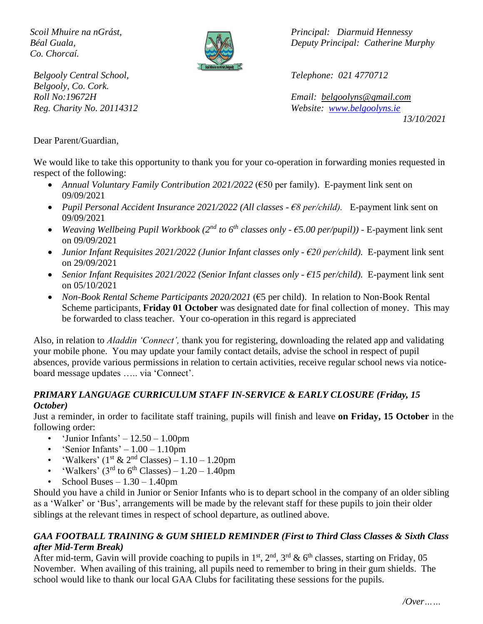*Co. Chorcaí.*



*Belgooly Central School, Telephone: 021 4770712 Belgooly, Co. Cork.*

*Scoil Mhuire na nGrást, Principal: Diarmuid Hennessy Béal Guala, Deputy Principal: Catherine Murphy*

*Roll No:19672H Email: [belgoolyns@gmail.com](mailto:belgoolyns@gmail.com) Reg. Charity No. 20114312 Website: [www.belgoolyns.ie](http://www.belgoolyns.ie/)*

*13/10/2021*

Dear Parent/Guardian,

We would like to take this opportunity to thank you for your co-operation in forwarding monies requested in respect of the following:

- *Annual Voluntary Family Contribution 2021/2022* (€50 per family). E-payment link sent on 09/09/2021
- *Pupil Personal Accident Insurance 2021/2022 (All classes - €8 per/child).* E-payment link sent on 09/09/2021
- *Weaving Wellbeing Pupil Workbook (2nd to 6th classes only - €5.00 per/pupil)) -* E-payment link sent on 09/09/2021
- *Junior Infant Requisites 2021/2022 (Junior Infant classes only - €20 per/child).* E-payment link sent on 29/09/2021
- *Senior Infant Requisites 2021/2022 (Senior Infant classes only - €15 per/child).* E-payment link sent on 05/10/2021
- *Non-Book Rental Scheme Participants 2020/2021* (€5 per child). In relation to Non-Book Rental Scheme participants, **Friday 01 October** was designated date for final collection of money. This may be forwarded to class teacher. Your co-operation in this regard is appreciated

Also, in relation to *Aladdin 'Connect',* thank you for registering, downloading the related app and validating your mobile phone. You may update your family contact details, advise the school in respect of pupil absences, provide various permissions in relation to certain activities, receive regular school news via noticeboard message updates ….. via 'Connect'.

#### *PRIMARY LANGUAGE CURRICULUM STAFF IN-SERVICE & EARLY CLOSURE (Friday, 15 October)*

Just a reminder, in order to facilitate staff training, pupils will finish and leave **on Friday, 15 October** in the following order:

- 'Junior Infants'  $12.50 1.00$ pm
- 'Senior Infants'  $1.00 1.10$ pm
- 'Walkers' ( $1^{\text{st}}$  &  $2^{\text{nd}}$  Classes)  $1.10 1.20$ pm
- 'Walkers'  $(3<sup>rd</sup>$  to 6<sup>th</sup> Classes) 1.20 1.40pm
- School Buses  $-1.30 1.40$ pm

Should you have a child in Junior or Senior Infants who is to depart school in the company of an older sibling as a 'Walker' or 'Bus', arrangements will be made by the relevant staff for these pupils to join their older siblings at the relevant times in respect of school departure, as outlined above.

#### *GAA FOOTBALL TRAINING & GUM SHIELD REMINDER (First to Third Class Classes & Sixth Class after Mid-Term Break)*

After mid-term, Gavin will provide coaching to pupils in  $1^{st}$ ,  $2^{nd}$ ,  $3^{rd}$  &  $6^{th}$  classes, starting on Friday, 05 November. When availing of this training, all pupils need to remember to bring in their gum shields. The school would like to thank our local GAA Clubs for facilitating these sessions for the pupils.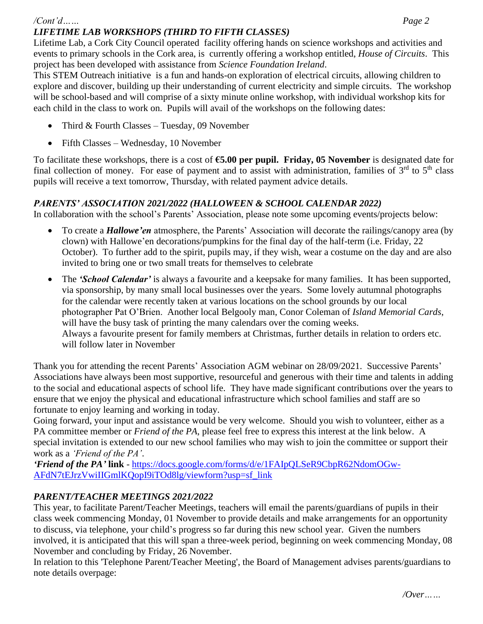Lifetime Lab, a Cork City Council operated facility offering hands on science workshops and activities and events to primary schools in the Cork area, is currently offering a workshop entitled, *House of Circuits*. This project has been developed with assistance from *Science Foundation Ireland*.

This STEM Outreach initiative is a fun and hands-on exploration of electrical circuits, allowing children to explore and discover, building up their understanding of current electricity and simple circuits. The workshop will be school-based and will comprise of a sixty minute online workshop, with individual workshop kits for each child in the class to work on. Pupils will avail of the workshops on the following dates:

- Third & Fourth Classes Tuesday, 09 November
- Fifth Classes Wednesday, 10 November

To facilitate these workshops, there is a cost of **€5.00 per pupil. Friday, 05 November** is designated date for final collection of money. For ease of payment and to assist with administration, families of  $3<sup>rd</sup>$  to  $5<sup>th</sup>$  class pupils will receive a text tomorrow, Thursday, with related payment advice details.

## *PARENTS' ASSOCIATION 2021/2022 (HALLOWEEN & SCHOOL CALENDAR 2022)*

In collaboration with the school's Parents' Association, please note some upcoming events/projects below:

- To create a *Hallowe'en* atmosphere, the Parents' Association will decorate the railings/canopy area (by clown) with Hallowe'en decorations/pumpkins for the final day of the half-term (i.e. Friday, 22 October). To further add to the spirit, pupils may, if they wish, wear a costume on the day and are also invited to bring one or two small treats for themselves to celebrate
- The *'School Calendar'* is always a favourite and a keepsake for many families. It has been supported, via sponsorship, by many small local businesses over the years. Some lovely autumnal photographs for the calendar were recently taken at various locations on the school grounds by our local photographer Pat O'Brien. Another local Belgooly man, Conor Coleman of *Island Memorial Cards*, will have the busy task of printing the many calendars over the coming weeks. Always a favourite present for family members at Christmas, further details in relation to orders etc. will follow later in November

Thank you for attending the recent Parents' Association AGM webinar on 28/09/2021. Successive Parents' Associations have always been most supportive, resourceful and generous with their time and talents in adding to the social and educational aspects of school life. They have made significant contributions over the years to ensure that we enjoy the physical and educational infrastructure which school families and staff are so fortunate to enjoy learning and working in today.

Going forward, your input and assistance would be very welcome. Should you wish to volunteer, either as a PA committee member or *Friend of the PA*, please feel free to express this interest at the link below. A special invitation is extended to our new school families who may wish to join the committee or support their work as a *'Friend of the PA'*.

*'Friend of the PA'* **link** - [https://docs.google.com/forms/d/e/1FAIpQLSeR9CbpR62NdomOGw-](https://docs.google.com/forms/d/e/1FAIpQLSeR9CbpR62NdomOGw-AFdN7tEJrzVwiIIGmlKQopI9iTOd8lg/viewform?usp=sf_link)[AFdN7tEJrzVwiIIGmlKQopI9iTOd8lg/viewform?usp=sf\\_link](https://docs.google.com/forms/d/e/1FAIpQLSeR9CbpR62NdomOGw-AFdN7tEJrzVwiIIGmlKQopI9iTOd8lg/viewform?usp=sf_link)

# *PARENT/TEACHER MEETINGS 2021/2022*

This year, to facilitate Parent/Teacher Meetings, teachers will email the parents/guardians of pupils in their class week commencing Monday, 01 November to provide details and make arrangements for an opportunity to discuss, via telephone, your child's progress so far during this new school year. Given the numbers involved, it is anticipated that this will span a three-week period, beginning on week commencing Monday, 08 November and concluding by Friday, 26 November.

In relation to this 'Telephone Parent/Teacher Meeting', the Board of Management advises parents/guardians to note details overpage: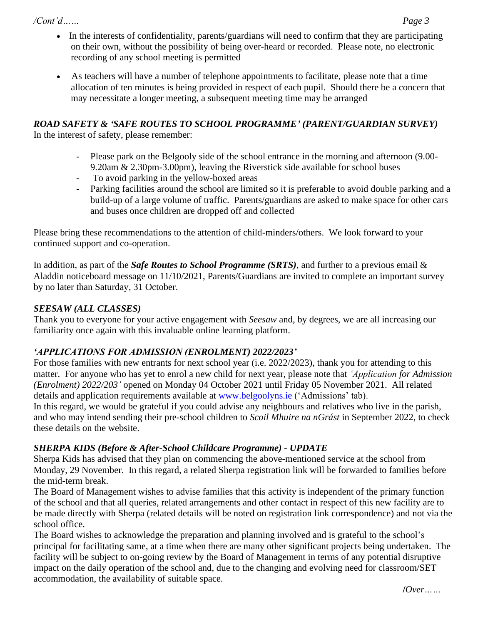*/Cont'd…… Page 3*

- In the interests of confidentiality, parents/guardians will need to confirm that they are participating on their own, without the possibility of being over-heard or recorded. Please note, no electronic recording of any school meeting is permitted
- As teachers will have a number of telephone appointments to facilitate, please note that a time allocation of ten minutes is being provided in respect of each pupil. Should there be a concern that may necessitate a longer meeting, a subsequent meeting time may be arranged

# *ROAD SAFETY & 'SAFE ROUTES TO SCHOOL PROGRAMME' (PARENT/GUARDIAN SURVEY)*

In the interest of safety, please remember:

- Please park on the Belgooly side of the school entrance in the morning and afternoon (9.00-9.20am & 2.30pm-3.00pm), leaving the Riverstick side available for school buses
- To avoid parking in the yellow-boxed areas
- Parking facilities around the school are limited so it is preferable to avoid double parking and a build-up of a large volume of traffic. Parents/guardians are asked to make space for other cars and buses once children are dropped off and collected

Please bring these recommendations to the attention of child-minders/others. We look forward to your continued support and co-operation.

In addition, as part of the *Safe Routes to School Programme (SRTS),* and further to a previous email & Aladdin noticeboard message on 11/10/2021, Parents/Guardians are invited to complete an important survey by no later than Saturday, 31 October.

# *SEESAW (ALL CLASSES)*

Thank you to everyone for your active engagement with *Seesaw* and, by degrees, we are all increasing our familiarity once again with this invaluable online learning platform.

### *'APPLICATIONS FOR ADMISSION (ENROLMENT) 2022/2023'*

For those families with new entrants for next school year (i.e. 2022/2023), thank you for attending to this matter. For anyone who has yet to enrol a new child for next year, please note that *'Application for Admission (Enrolment) 2022/203'* opened on Monday 04 October 2021 until Friday 05 November 2021. All related details and application requirements available at [www.belgoolyns.ie](http://www.belgoolyns.ie/) ('Admissions' tab).

In this regard, we would be grateful if you could advise any neighbours and relatives who live in the parish, and who may intend sending their pre-school children to *Scoil Mhuire na nGrást* in September 2022, to check these details on the website.

### *SHERPA KIDS (Before & After-School Childcare Programme) - UPDATE*

Sherpa Kids has advised that they plan on commencing the above-mentioned service at the school from Monday, 29 November. In this regard, a related Sherpa registration link will be forwarded to families before the mid-term break.

The Board of Management wishes to advise families that this activity is independent of the primary function of the school and that all queries, related arrangements and other contact in respect of this new facility are to be made directly with Sherpa (related details will be noted on registration link correspondence) and not via the school office.

The Board wishes to acknowledge the preparation and planning involved and is grateful to the school's principal for facilitating same, at a time when there are many other significant projects being undertaken. The facility will be subject to on-going review by the Board of Management in terms of any potential disruptive impact on the daily operation of the school and, due to the changing and evolving need for classroom/SET accommodation, the availability of suitable space.